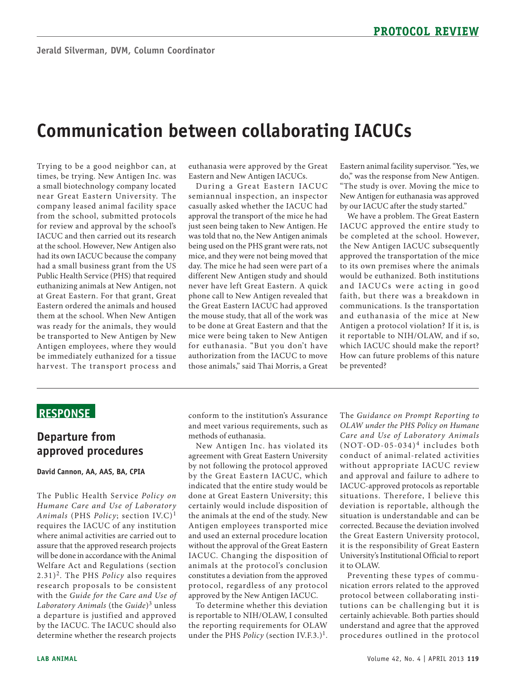# **Communication between collaborating IACUCs**

 a small biotechnology company located from the school, submitted protocols be immediately euthanized for a tissue Trying to be a good neighbor can, at times, be trying. New Antigen Inc. was near Great Eastern University. The company leased animal facility space for review and approval by the school's IACUC and then carried out its research at the school. However, New Antigen also had its own IACUC because the company had a small business grant from the US Public Health Service (PHS) that required euthanizing animals at New Antigen, not at Great Eastern. For that grant, Great Eastern ordered the animals and housed them at the school. When New Antigen was ready for the animals, they would be transported to New Antigen by New Antigen employees, where they would harvest. The transport process and

euthanasia were approved by the Great Eastern and New Antigen IACUCs.

During a Great Eastern IACUC semiannual inspection, an inspector casually asked whether the IACUC had approval the transport of the mice he had just seen being taken to New Antigen. He was told that no, the New Antigen animals being used on the PHS grant were rats, not mice, and they were not being moved that day. The mice he had seen were part of a different New Antigen study and should never have left Great Eastern. A quick phone call to New Antigen revealed that the Great Eastern IACUC had approved the mouse study, that all of the work was to be done at Great Eastern and that the mice were being taken to New Antigen for euthanasia. "But you don't have authorization from the IACUC to move those animals," said Thai Morris, a Great

Eastern animal facility supervisor. "Yes, we do," was the response from New Antigen. "The study is over. Moving the mice to New Antigen for euthanasia was approved by our IACUC after the study started."

 would be euthanized. Both institutions We have a problem. The Great Eastern IACUC approved the entire study to be completed at the school. However, the New Antigen IACUC subsequently approved the transportation of the mice to its own premises where the animals and IACUCs were acting in good faith, but there was a breakdown in communications. Is the transportation and euthanasia of the mice at New Antigen a protocol violation? If it is, is it reportable to NIH/OLAW, and if so, which IACUC should make the report? How can future problems of this nature be prevented?

# **ReSponSe**

#### **Departure from approved procedures**

**David Cannon, AA, AAS, BA, CpIA** 

 requires the IACUC of any institution assure that the approved research projects Welfare Act and Regulations (section research proposals to be consistent The Public Health Service *Policy on Humane Care and Use of Laboratory Animals* (PHS *Policy*; section IV.C)<sup>1</sup> where animal activities are carried out to will be done in accordance with the Animal 2.31)2. The PHS *Policy* also requires with the *Guide for the Care and Use of Laboratory Animals* (the *Guide*)3 unless a departure is justified and approved by the IACUC. The IACUC should also determine whether the research projects

 conform to the institution's Assurance methods of euthanasia. and meet various requirements, such as

 Antigen employees transported mice IACUC. Changing the disposition of proto col, regard less of any protocol New Antigen Inc. has violated its agreement with Great Eastern University by not following the protocol approved by the Great Eastern IACUC, which indicated that the entire study would be done at Great Eastern University; this certainly would include disposition of the animals at the end of the study. New and used an external procedure location without the approval of the Great Eastern animals at the protocol's conclusion constitutes a deviation from the approved approved by the New Antigen IACUC.

 To determine whether this deviation is reportable to NIH/OLAW, I consulted the reporting requirements for OLAW under the PHS *Policy* (section IV.F.3.)<sup>1</sup>.

conduct of animal-related activities IACUC-approved protocols as reportable situation is understandable and can be The *Guidance on Prompt Reporting to OLAW under the PHS Policy on Humane Care and Use of Laborator y Animals*   $(NOT-OD-05-034)^4$  includes both without appropriate IACUC review and approval and failure to adhere to situations. Therefore, I believe this deviation is reportable, although the corrected. Because the deviation involved the Great Eastern University protocol, it is the responsibility of Great Eastern University's Institutional Official to report it to OLAW.

 certainly achievable. Both parties should procedures outlined in the proto col Preventing these types of communication errors related to the approved protocol between collaborating institutions can be challenging but it is understand and agree that the approved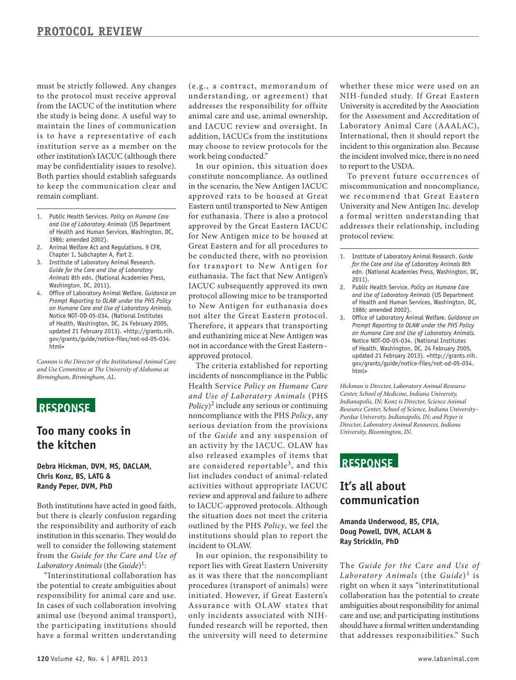maintain the lines of communication Both parties should establish safeguards must be strictly followed. Any changes to the protocol must receive approval from the IACUC of the institution where the study is being done. A useful way to is to have a representative of each institution serve as a member on the other institution's IACUC (although there may be confidentiality issues to resolve). to keep the communication clear and remain compliant.

- 1. Public Health Services. *Policy on Humane Care and Use of Laboratory Animals* (US Department of Health and Human Services, Washington, DC, 1986; amended 2002).
- 2. Animal Welfare Act and Regulations. 9 CFR, Chapter 1, Subchapter A, Part 2.
- 3. Institute of Laboratory Animal Research. *Guide for the Care and Use of Laboratory Animals* 8th edn. (National Academies Press, Washington, DC, 2011).
- 4. Office of Laboratory Animal Welfare. *Guidance on Prompt Reporting to OLAW under the PHS Policy on Humane Care and Use of Laboratory Animals.*  Notice NOT-OD-05-034. (National Institutes of Health, Washington, DC, 24 February 2005, updated 21 February 2013). <http://grants.nih. gov/grants/guide/notice-files/not-od-05-034. html>

*Cannon is the Director of the Institutional Animal Care and Use Committee at The University of Alabama at Birmingham, Birmingham, AL.* 

# **ReSponSe**

## **Too many cooks in the kitchen**

**Debra Hickman, DVM, MS, DACLAM, Chris Konz, BS, LATG & Randy peper, DVM, phD** 

 the responsibility and authority of each well to consider the following statement Both institutions have acted in good faith, but there is clearly confusion regarding institution in this scenario. They would do from the *Guide for the Care and Use of Laboratory Animals* (the *Guide*)<sup>1</sup>:

 In cases of such collaboration involving the participating institutions should "Interinstitutional collaboration has the potential to create ambiguities about responsibility for animal care and use. animal use (beyond animal transport), have a formal written understanding

 addresses the responsibility for offsite (e.g., a contract, memorandum of understanding, or agreement) that animal care and use, animal ownership, and IACUC review and oversight. In addition, IACUCs from the institutions may choose to review protocols for the work being conducted."

 constitute noncompliance. As outlined for euthanasia. There is also a protocol be conducted there, with no provision protocol allowing mice to be transported In our opinion, this situation does in the scenario, the New Antigen IACUC approved rats to be housed at Great Eastern until transported to New Antigen approved by the Great Eastern IACUC for New Antigen mice to be housed at Great Eastern and for all procedures to for transport to New Antigen for euthanasia. The fact that New Antigen's IACUC subsequently approved its own to New Antigen for euthanasia does not alter the Great Eastern protocol. Therefore, it appears that transporting and euthanizing mice at New Antigen was not in accordance with the Great Eastern– approved protocol.

 The criteria established for reporting Health Service *Policy on Humane Care Policy*)2 include any serious or continuing serious deviation from the provisions are considered reportable<sup>3</sup>, and this list includes conduct of animal-related activities without appropriate IACUC the situation does not meet the criteria incidents of noncompliance in the Public and Use of Laboratory Animals (PHS noncompliance with the PHS *Policy*, any of the *Guide* and any suspension of an activity by the IACUC. OLAW has also released examples of items that review and approval and failure to adhere to IACUC-approved protocols. Although outlined by the PHS *Policy*, we feel the institutions should plan to report the incident to OLAW.

 only incidents associated with NIH-In our opinion, the responsibility to report lies with Great Eastern University as it was there that the noncompliant procedures (transport of animals) were initiated. However, if Great Eastern's Assurance with OLAW states that funded research will be reported, then the university will need to determine

 whether these mice were used on an NIH-funded study. If Great Eastern University is accredited by the Association for the Assessment and Accreditation of Laboratory Animal Care (AAALAC), International, then it should report the incident to this organization also. Because the incident involved mice, there is no need to report to the USDA.

 miscommunication and noncompliance, University and New Antigen Inc. develop protocol review. To prevent future occurrences of we recommend that Great Eastern a formal wr itten understanding that addresses their relationship, including

1. Institute of Laboratory Animal Research. *Guide for the Care and Use of Laboratory Animals* 8th edn. (National Academies Press, Washington, DC, 2011).

- 2. Public Health Service. *Policy on Humane Care and Use of Laboratory Animals* (US Department of Health and Human Services, Washington, DC, 1986; amended 2002).
- 3. Office of Laboratory Animal Welfare. *Guidance on Prompt Reporting to OLAW under the PHS Policy on Humane Care and Use of Laboratory Animals.*  Notice NOT-OD-05-034. (National Institutes of Health, Washington, DC, 24 February 2005, updated 21 February 2013). <http://grants.nih. gov/grants/guide/notice-files/not-od-05-034. html>

*Hickman is Director, Laboratory Animal Resource Center, School of Medicine, Indiana University, Indianapolis, IN; Konz is Director, Science Animal Resource Center, School of Science, Indiana University– Purdue University, Indianapolis, IN; and Peper is Director, Laboratory Animal Resources, Indiana University, Bloomington, IN.* 

### **ReSponSe**

#### **It's all about communication**

#### **Amanda Underwood, BS, CpIA, Doug powell, DVM, ACLAM & Ray Stricklin, phD**

 collaboration has the potential to create should have a formal written understanding that addresses responsibilities." Such The *Guide for the Care and Use of Laboratory Animals* (the *Guide*)<sup>1</sup> is right on when it says "interinstitutional ambiguities about responsibility for animal care and use; and participating institutions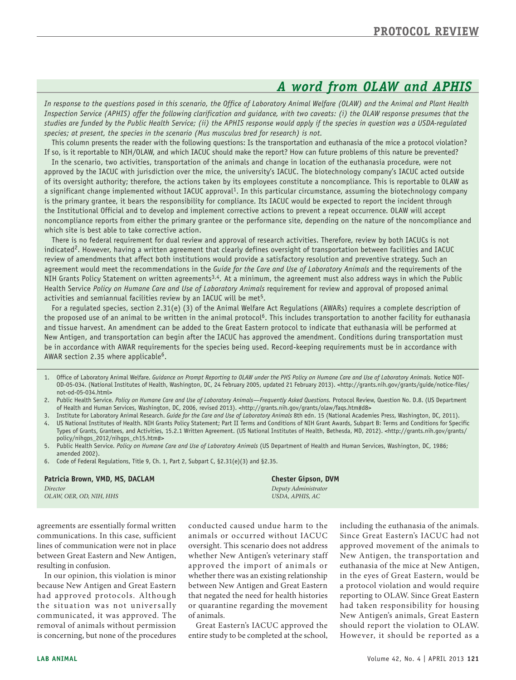# *A word from OLAW and APHIS*

*In response to the questions posed in this scenario, the Office of Laboratory Animal Welfare (OLAW) and the Animal and Plant Health Inspection Service (APHIS) offer the following clarification and guidance, with two caveats: (i) the OLAW response presumes that the studies are funded by the Public Health Service; (ii) the APHIS response would apply if the species in question was a USDA-regulated species; at present, the species in the scenario (Mus musculus bred for research) is not.* 

This column presents the reader with the following questions: Is the transportation and euthanasia of the mice a protocol violation? If so, is it reportable to NIH/OLAW, and which IACUC should make the report? How can future problems of this nature be prevented?

In the scenario, two activities, transportation of the animals and change in location of the euthanasia procedure, were not approved by the IACUC with jurisdiction over the mice, the university's IACUC. The biotechnology company's IACUC acted outside of its oversight authority; therefore, the actions taken by its employees constitute a noncompliance. This is reportable to OLAW as a significant change implemented without IACUC approval<sup>1</sup>. In this particular circumstance, assuming the biotechnology company is the primary grantee, it bears the responsibility for compliance. Its IACUC would be expected to report the incident through the Institutional Official and to develop and implement corrective actions to prevent a repeat occurrence. OLAW will accept noncompliance reports from either the primary grantee or the performance site, depending on the nature of the noncompliance and which site is best able to take corrective action.

There is no federal requirement for dual review and approval of research activities. Therefore, review by both IACUCs is not indicated<sup>2</sup>. However, having a written agreement that clearly defines oversight of transportation between facilities and IACUC review of amendments that affect both institutions would provide a satisfactory resolution and preventive strategy. Such an agreement would meet the recommendations in the *Guide for the Care and Use of Laboratory Animals* and the requirements of the NIH Grants Policy Statement on written agreements3,4*.* At a minimum, the agreement must also address ways in which the Public Health Service *Policy on Humane Care and Use of Laboratory Animals* requirement for review and approval of proposed animal activities and semiannual facilities review by an IACUC will be met<sup>5</sup>.

For a regulated species, section 2.31(e) (3) of the Animal Welfare Act Regulations (AWARs) requires a complete description of the proposed use of an animal to be written in the animal protocol<sup>6</sup>. This includes transportation to another facility for euthanasia and tissue harvest. An amendment can be added to the Great Eastern protocol to indicate that euthanasia will be performed at New Antigen, and transportation can begin after the IACUC has approved the amendment. Conditions during transportation must be in accordance with AWAR requirements for the species being used. Record-keeping requirements must be in accordance with AWAR section 2.35 where applicable<sup>6</sup>.

- 1. Office of Laboratory Animal Welfare. *Guidance on Prompt Reporting to OLAW under the PHS Policy on Humane Care and Use of Laboratory Animals.* Notice NOT-OD-05-034. (National Institutes of Health, Washington, DC, 24 February 2005, updated 21 February 2013). <http://grants.nih.gov/grants/guide/notice-files/ not-od-05-034.html>
- 2. Public Health Service. *Policy on Humane Care and Use of Laboratory Animals—Frequently Asked Questions.* Protocol Review, Question No. D.8. (US Department of Health and Human Services, Washington, DC, 2006, revised 2013). <http://grants.nih.gov/grants/olaw/faqs.htm#d8>
- 3. Institute for Laboratory Animal Research. *Guide for the Care and Use of Laboratory Animals* 8th edn. 15 (National Academies Press, Washington, DC, 2011). 4. US National Institutes of Health. NIH Grants Policy Statement; Part II Terms and Conditions of NIH Grant Awards, Subpart B: Terms and Conditions for Specific Types of Grants, Grantees, and Activities, 15.2.1 Written Agreement. (US National Institutes of Health, Bethesda, MD, 2012). <http://grants.nih.gov/grants/
- policy/nihgps\_2012/nihgps\_ch15.htm#> 5. Public Health Service. *Policy on Humane Care and Use of Laboratory Animals* (US Department of Health and Human Services, Washington, DC, 1986; amended 2002).
- 6. Code of Federal Regulations, Title 9, Ch. 1, Part 2, Subpart C, §2.31(e)(3) and §2.35.

#### Patricia Brown, VMD, MS, DACLAM **Chester Gipson, DVM** Chester Gipson, DVM

| Director                |  |
|-------------------------|--|
| OLAW, OER, OD, NIH, HHS |  |

*Director Deputy Administrator OLAW, OER, OD, NIH, HHS USDA, APHIS, AC* 

agreements are essentially formal written conducted caused undue harm to the including the euthanasia of the animals. communications. In this case, sufficient animals or occurred without IACUC Since Great Eastern's IACUC had not lines of communication were not in place oversight. This scenario does not address approved movement of the animals to between Great Eastern and New Antigen, whether New Antigen's veterinary staff New Antigen, the transportation and resulting in confusion. approved the import of animals or euthanasia of the mice at New Antigen, In our opinion, this violation is minor whether there was an existing relationship in the eyes of Great Eastern, would be because New Antigen and Great Eastern between New Antigen and Great Eastern a protocol violation and would require had approved protocols. Although that negated the need for health histories reporting to OLAW. Since Great Eastern the situation was not universally or quarantine regarding the movement had taken responsibility for housing communicated, it was approved. The of animals. New Antigen's animals, Great Eastern

removal of animals without permission Great Eastern's IACUC approved the should report the violation to OLAW. is concerning, but none of the procedures entire study to be completed at the school, However, it should be reported as a